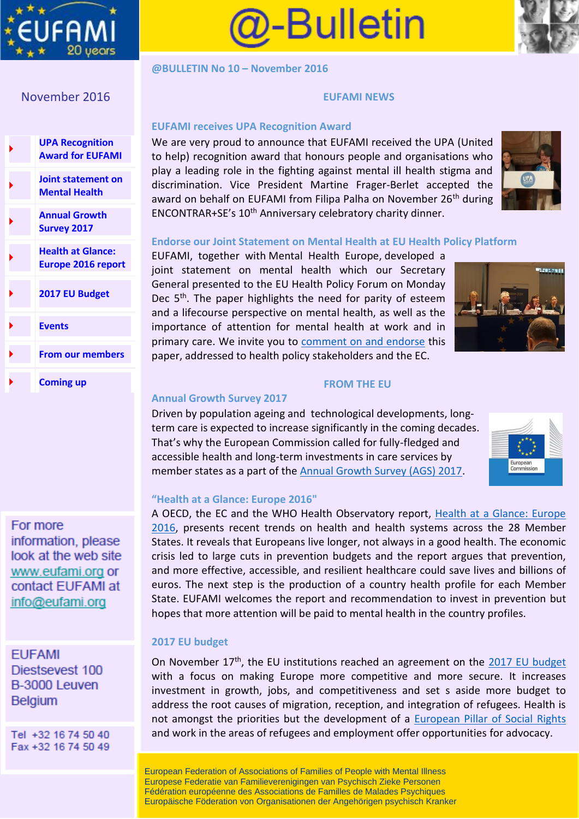



**@BULLETIN No 10 – November 2016**

# November 2016

| <b>UPA Recognition</b><br><b>Award for EUFAMI</b>     |
|-------------------------------------------------------|
| Joint statement on<br><b>Mental Health</b>            |
| <b>Annual Growth</b><br><b>Survey 2017</b>            |
| <b>Health at Glance:</b><br><b>Europe 2016 report</b> |
| 2017 EU Budget                                        |
| <b>Events</b>                                         |
| <b>From our members</b>                               |
| <b>Coming up</b>                                      |

# For more information, please look at the web site www.eufami.org or contact EUFAMI at info@eufami.org

**EUFAMI** Diestsevest 100 B-3000 Leuven **Belgium** 

Tel +32 16 74 50 40 Fax +32 16 74 50 49

#### **EUFAMI NEWS**

# **EUFAMI receives UPA Recognition Award**

We are very proud to announce that EUFAMI received the UPA (United to help) recognition award that honours people and organisations who play a leading role in the fighting against mental ill health stigma and discrimination. Vice President Martine Frager-Berlet accepted the award on behalf on EUFAMI from Filipa Palha on November 26<sup>th</sup> during ENCONTRAR+SE's 10<sup>th</sup> Anniversary celebratory charity dinner.



## **Endorse our Joint Statement on Mental Health at EU Health Policy Platform**

EUFAMI, together with Mental Health Europe, developed a joint statement on mental health which our Secretary General presented to the EU Health Policy Forum on Monday Dec 5<sup>th</sup>. The paper highlights the need for parity of esteem and a lifecourse perspective on mental health, as well as the importance of attention for mental health at work and in primary care. We invite you to [comment on and endorse](https://webgate.ec.europa.eu/hpf/item/item/2798) this paper, addressed to health policy stakeholders and the EC.



# **Annual Growth Survey 2017**

Driven by population ageing and technological developments, longterm care is expected to increase significantly in the coming decades. That's why the European Commission called for fully-fledged and accessible health and long-term investments in care services by member states as a part of the [Annual Growth Survey \(AGS\) 2017.](http://ec.europa.eu/europe2020/pdf/2016/ags2016_annual_growth_survey.pdf)



### **"Health at a Glance: Europe 2016"**

A OECD, the EC and the WHO Health Observatory report, [Health at a Glance: Europe](http://ec.europa.eu/health/state/docs/health_glance_2016_rep_en.pdf)  [2016,](http://ec.europa.eu/health/state/docs/health_glance_2016_rep_en.pdf) presents recent trends on health and health systems across the 28 Member States. It reveals that Europeans live longer, not always in a good health. The economic crisis led to large cuts in prevention budgets and the report argues that prevention, and more effective, accessible, and resilient healthcare could save lives and billions of euros. The next step is the production of a country health profile for each Member State. EUFAMI welcomes the report and recommendation to invest in prevention but hopes that more attention will be paid to mental health in the country profiles.

**FROM THE EU** 

# **2017 EU budget**

On November  $17<sup>th</sup>$ , the EU institutions reached an agreement on the [2017 EU budget](http://www.consilium.europa.eu/en/policies/eu-annual-budget/2017/) with a focus on making Europe more competitive and more secure. It increases investment in growth, jobs, and competitiveness and set s aside more budget to address the root causes of migration, reception, and integration of refugees. Health is not amongst the priorities but the development of a [European Pillar of Social Rights](http://ec.europa.eu/priorities/deeper-and-fairer-economic-and-monetary-union/towards-european-pillar-social-rights_en) and work in the areas of refugees and employment offer opportunities for advocacy.

European Federation of Associations of Families of People with Mental Illness Europese Federatie van Familieverenigingen van Psychisch Zieke Personen Fédération européenne des Associations de Familles de Malades Psychiques Europäische Föderation von Organisationen der Angehörigen psychisch Kranker